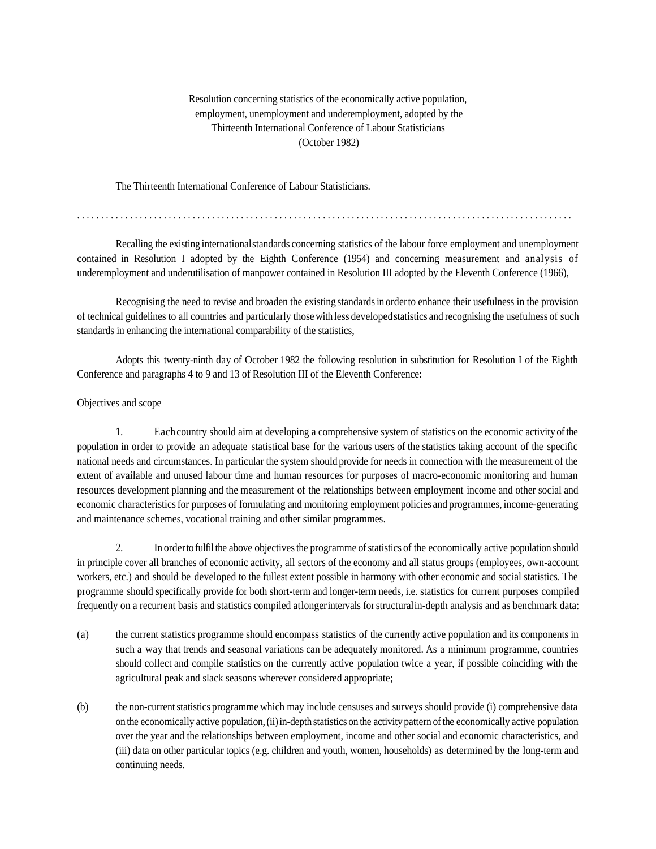## Resolution concerning statistics of the economically active population, employment, unemployment and underemployment, adopted by the Thirteenth International Conference of Labour Statisticians (October 1982)

The Thirteenth International Conference of Labour Statisticians.

.......................................................................................................

Recalling the existing internationalstandards concerning statistics of the labour force employment and unemployment contained in Resolution I adopted by the Eighth Conference (1954) and concerning measurement and analysis of underemployment and underutilisation of manpower contained in Resolution III adopted by the Eleventh Conference (1966),

Recognising the need to revise and broaden the existing standardsin orderto enhance their usefulness in the provision of technical guidelines to all countries and particularly thosewith less developedstatistics and recognising the usefulness of such standards in enhancing the international comparability of the statistics,

Adopts this twenty-ninth day of October 1982 the following resolution in substitution for Resolution I of the Eighth Conference and paragraphs 4 to 9 and 13 of Resolution III of the Eleventh Conference:

#### Objectives and scope

1. Eachcountry should aim at developing a comprehensive system of statistics on the economic activity ofthe population in order to provide an adequate statistical base for the various users of the statistics taking account of the specific national needs and circumstances. In particular the system should provide for needs in connection with the measurement of the extent of available and unused labour time and human resources for purposes of macro-economic monitoring and human resources development planning and the measurement of the relationships between employment income and other social and economic characteristicsfor purposes of formulating and monitoring employment policies and programmes, income-generating and maintenance schemes, vocational training and other similar programmes.

2. In orderto fulfilthe above objectivesthe programme ofstatistics of the economically active population should in principle cover all branches of economic activity, all sectors of the economy and all status groups (employees, own-account workers, etc.) and should be developed to the fullest extent possible in harmony with other economic and social statistics. The programme should specifically provide for both short-term and longer-term needs, i.e. statistics for current purposes compiled frequently on a recurrent basis and statistics compiled atlongerintervals forstructuralin-depth analysis and as benchmark data:

- (a) the current statistics programme should encompass statistics of the currently active population and its components in such a way that trends and seasonal variations can be adequately monitored. As a minimum programme, countries should collect and compile statistics on the currently active population twice a year, if possible coinciding with the agricultural peak and slack seasons wherever considered appropriate;
- (b) the non-currentstatistics programme which may include censuses and surveys should provide (i) comprehensive data on the economically active population,(ii)in-depth statistics on the activity pattern ofthe economically active population over the year and the relationships between employment, income and other social and economic characteristics, and (iii) data on other particular topics (e.g. children and youth, women, households) as determined by the long-term and continuing needs.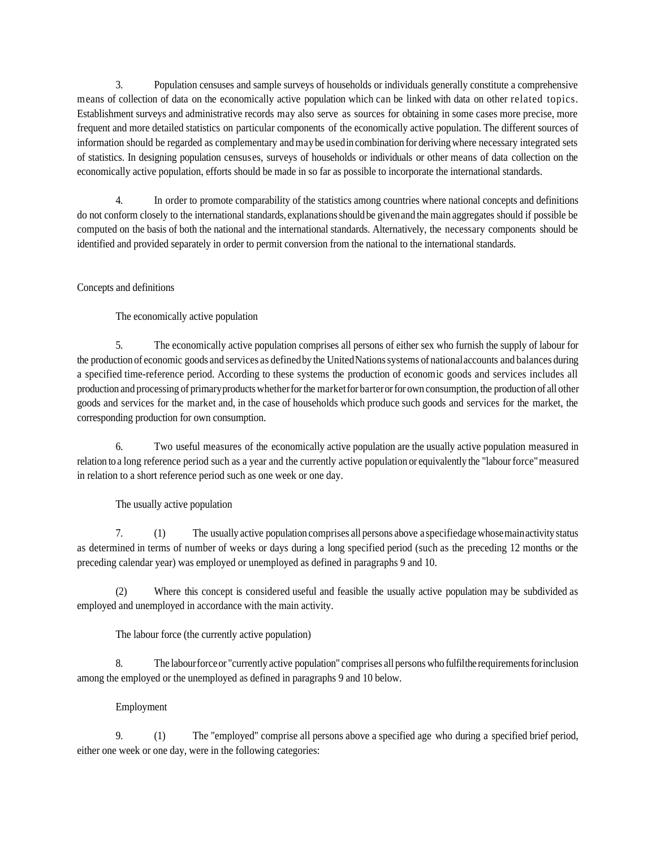3. Population censuses and sample surveys of households or individuals generally constitute a comprehensive means of collection of data on the economically active population which can be linked with data on other related topics. Establishment surveys and administrative records may also serve as sources for obtaining in some cases more precise, more frequent and more detailed statistics on particular components of the economically active population. The different sources of information should be regarded as complementary andmaybe usedin combination for derivingwhere necessary integrated sets of statistics. In designing population censuses, surveys of households or individuals or other means of data collection on the economically active population, efforts should be made in so far as possible to incorporate the international standards.

4. In order to promote comparability of the statistics among countries where national concepts and definitions do not conform closely to the international standards, explanationsshould be givenand the main aggregates should if possible be computed on the basis of both the national and the international standards. Alternatively, the necessary components should be identified and provided separately in order to permit conversion from the national to the international standards.

# Concepts and definitions

The economically active population

5. The economically active population comprises all persons of either sex who furnish the supply of labour for the production of economic goods and services as defined by the United Nations systems of national accounts and balances during a specified time-reference period. According to these systems the production of economic goods and services includes all production and processing of primaryproductswhetherforthe marketfor barterorfor own consumption, the production of all other goods and services for the market and, in the case of households which produce such goods and services for the market, the corresponding production for own consumption.

6. Two useful measures of the economically active population are the usually active population measured in relation to a long reference period such as a year and the currently active population or equivalently the "labourforce"measured in relation to a short reference period such as one week or one day.

The usually active population

7. (1) The usually active population comprises all persons above a specifiedage whosemainactivity status as determined in terms of number of weeks or days during a long specified period (such as the preceding 12 months or the preceding calendar year) was employed or unemployed as defined in paragraphs 9 and 10.

(2) Where this concept is considered useful and feasible the usually active population may be subdivided as employed and unemployed in accordance with the main activity.

The labour force (the currently active population)

8. The labourforceor "currently active population" comprises all persons who fulfilthe requirementsforinclusion among the employed or the unemployed as defined in paragraphs 9 and 10 below.

### Employment

9. (1) The "employed" comprise all persons above a specified age who during a specified brief period, either one week or one day, were in the following categories: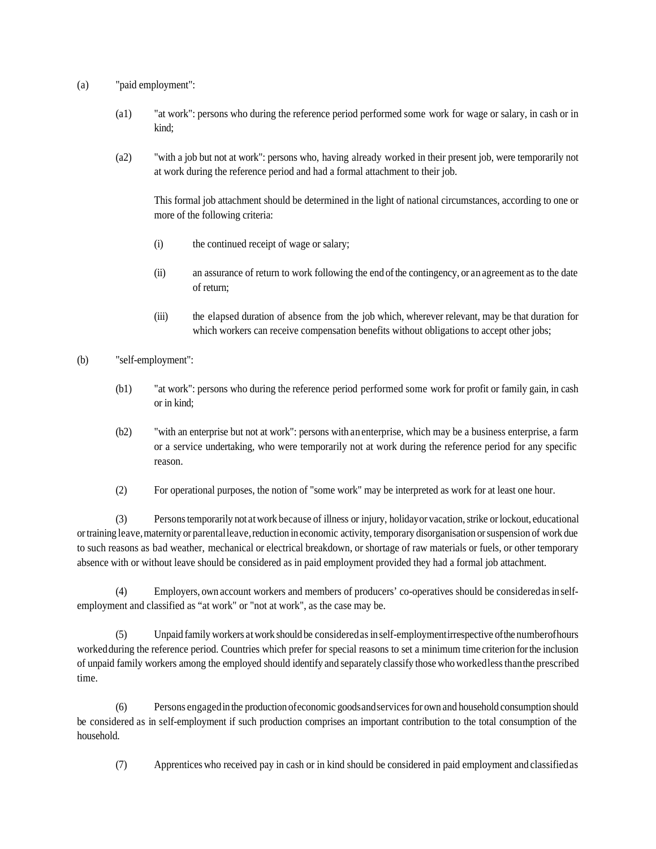- (a) "paid employment":
	- (a1) "at work": persons who during the reference period performed some work for wage or salary, in cash or in kind;
	- (a2) "with a job but not at work": persons who, having already worked in their present job, were temporarily not at work during the reference period and had a formal attachment to their job.

This formal job attachment should be determined in the light of national circumstances, according to one or more of the following criteria:

- (i) the continued receipt of wage or salary;
- (ii) an assurance of return to work following the end ofthe contingency, or an agreement as to the date of return;
- (iii) the elapsed duration of absence from the job which, wherever relevant, may be that duration for which workers can receive compensation benefits without obligations to accept other jobs;
- (b) "self-employment":
	- (b1) "at work": persons who during the reference period performed some work for profit or family gain, in cash or in kind;
	- (b2) "with an enterprise but not at work": persons with an enterprise, which may be a business enterprise, a farm or a service undertaking, who were temporarily not at work during the reference period for any specific reason.
	- (2) For operational purposes, the notion of "some work" may be interpreted as work for at least one hour.

(3) Personstemporarily not atwork because of illness or injury, holidayor vacation,strike orlockout, educational ortraining leave,maternity or parentalleave,reduction in economic activity, temporary disorganisation orsuspension of work due to such reasons as bad weather, mechanical or electrical breakdown, or shortage of raw materials or fuels, or other temporary absence with or without leave should be considered as in paid employment provided they had a formal job attachment.

(4) Employers, own account workers and members of producers' co-operatives should be consideredasin selfemployment and classified as "at work" or "not at work", as the case may be.

(5) Unpaid family workers atwork should be consideredasin self-employmentirrespective ofthe numberofhours workedduring the reference period. Countries which prefer for special reasons to set a minimum time criterion forthe inclusion of unpaid family workers among the employed should identify and separately classify those who workedlessthanthe prescribed time.

(6) Persons engagedin the production ofeconomic goodsandservicesfor own and household consumption should be considered as in self-employment if such production comprises an important contribution to the total consumption of the household.

(7) Apprentices who received pay in cash or in kind should be considered in paid employment and classifiedas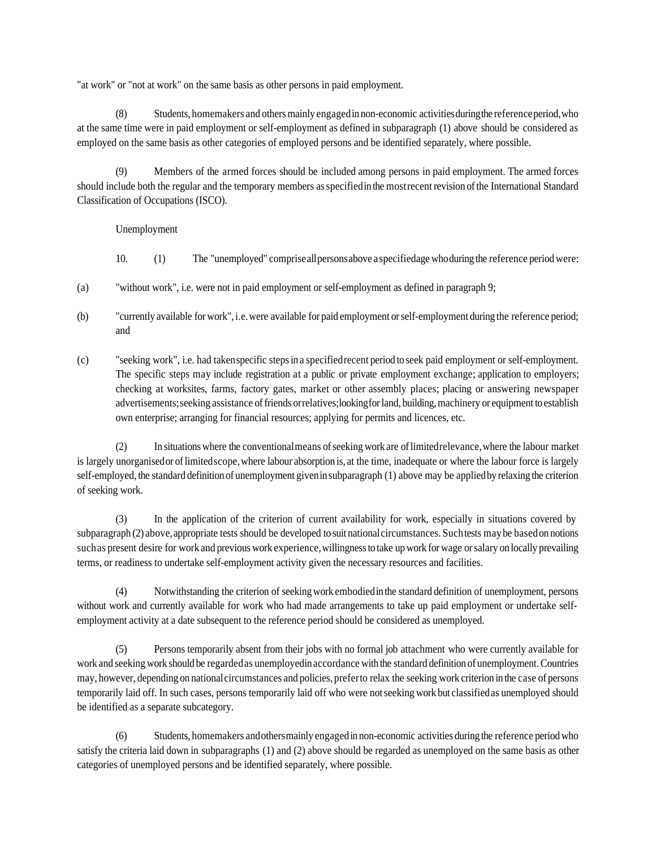"at work" or "not at work" on the same basis as other persons in paid employment.

(8) Students, homemakers and othersmainly engagedin non-economic activitiesduringthe referenceperiod,who at the same time were in paid employment or self-employment as defined in subparagraph (1) above should be considered as employed on the same basis as other categories of employed persons and be identified separately, where possible.

(9) Members of the armed forces should be included among persons in paid employment. The armed forces should include both the regular and the temporary members asspecifiedin the mostrecent revision ofthe International Standard Classification of Occupations (ISCO).

Unemployment

10. (1) The "unemployed" compriseallpersonsabove a specifiedage whoduring the reference period were:

- (a) "without work", i.e. were not in paid employment or self-employment as defined in paragraph 9;
- (b) "currently available for work", i.e.were available for paid employment orself-employment during the reference period; and
- (c) "seeking work", i.e. had takenspecific stepsin a specifiedrecent period to seek paid employment or self-employment. The specific steps may include registration at a public or private employment exchange; application to employers; checking at worksites, farms, factory gates, market or other assembly places; placing or answering newspaper advertisements;seeking assistance offriends orrelatives;lookingforland, building,machinery or equipment to establish own enterprise; arranging for financial resources; applying for permits and licences, etc.

(2) In situations where the conventionalmeans ofseeking work are oflimitedrelevance,where the labour market is largely unorganisedor oflimitedscope,where labour absorption is, at the time, inadequate or where the labour force is largely self-employed, the standard definition of unemployment givenin subparagraph (1) above may be appliedby relaxing the criterion of seeking work.

(3) In the application of the criterion of current availability for work, especially in situations covered by subparagraph (2) above,appropriate tests should be developed to suit nationalcircumstances. Suchtests maybe basedon notions suchas present desire for work and previous work experience,willingnessto take upwork for wage orsalary on locally prevailing terms, or readiness to undertake self-employment activity given the necessary resources and facilities.

(4) Notwithstanding the criterion of seeking work embodiedin the standard definition of unemployment, persons without work and currently available for work who had made arrangements to take up paid employment or undertake selfemployment activity at a date subsequent to the reference period should be considered as unemployed.

(5) Persons temporarily absent from their jobs with no formal job attachment who were currently available for work and seeking work should be regardedas unemployedin accordance with the standard definition of unemployment.Countries may, however, depending on nationalcircumstances and policies, preferto relax the seeking work criterion in the case of persons temporarily laid off. In such cases, persons temporarily laid off who were notseeking work but classifiedas unemployed should be identified as a separate subcategory.

(6) Students, homemakers andothersmainly engagedin non-economic activities during the reference period who satisfy the criteria laid down in subparagraphs (1) and (2) above should be regarded as unemployed on the same basis as other categories of unemployed persons and be identified separately, where possible.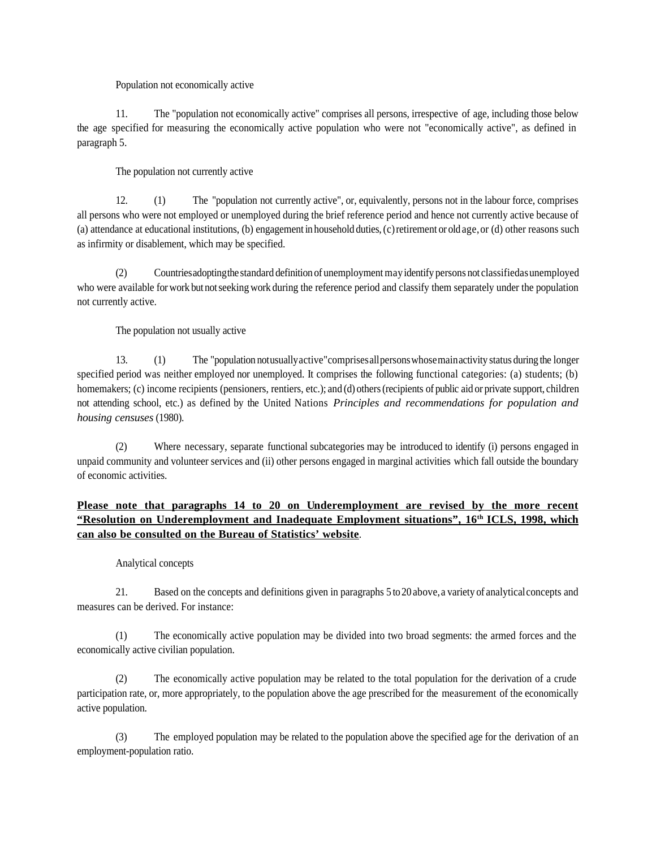Population not economically active

11. The "population not economically active" comprises all persons, irrespective of age, including those below the age specified for measuring the economically active population who were not "economically active", as defined in paragraph 5.

The population not currently active

12. (1) The "population not currently active", or, equivalently, persons not in the labour force, comprises all persons who were not employed or unemployed during the brief reference period and hence not currently active because of (a) attendance at educational institutions, (b) engagement in household duties,(c)retirement or old age,or (d) other reasons such as infirmity or disablement, which may be specified.

(2) Countriesadoptingthe standard definition of unemploymentmayidentify persons not classifiedasunemployed who were available for work but notseeking work during the reference period and classify them separately under the population not currently active.

The population not usually active

13. (1) The "population notusuallyactive"comprisesallpersonswhosemainactivity status during the longer specified period was neither employed nor unemployed. It comprises the following functional categories: (a) students; (b) homemakers; (c) income recipients (pensioners, rentiers, etc.); and (d) others (recipients of public aid or private support, children not attending school, etc.) as defined by the United Nations *Principles and recommendations for population and housing censuses* (1980).

(2) Where necessary, separate functional subcategories may be introduced to identify (i) persons engaged in unpaid community and volunteer services and (ii) other persons engaged in marginal activities which fall outside the boundary of economic activities.

# **Please note that paragraphs 14 to 20 on Underemployment are revised by the more recent "Resolution on Underemployment and Inadequate Employment situations", 16th ICLS, 1998, which can also be consulted on the Bureau of Statistics' website**.

#### Analytical concepts

21. Based on the concepts and definitions given in paragraphs 5 to 20 above,a variety of analyticalconcepts and measures can be derived. For instance:

(1) The economically active population may be divided into two broad segments: the armed forces and the economically active civilian population.

(2) The economically active population may be related to the total population for the derivation of a crude participation rate, or, more appropriately, to the population above the age prescribed for the measurement of the economically active population.

(3) The employed population may be related to the population above the specified age for the derivation of an employment-population ratio.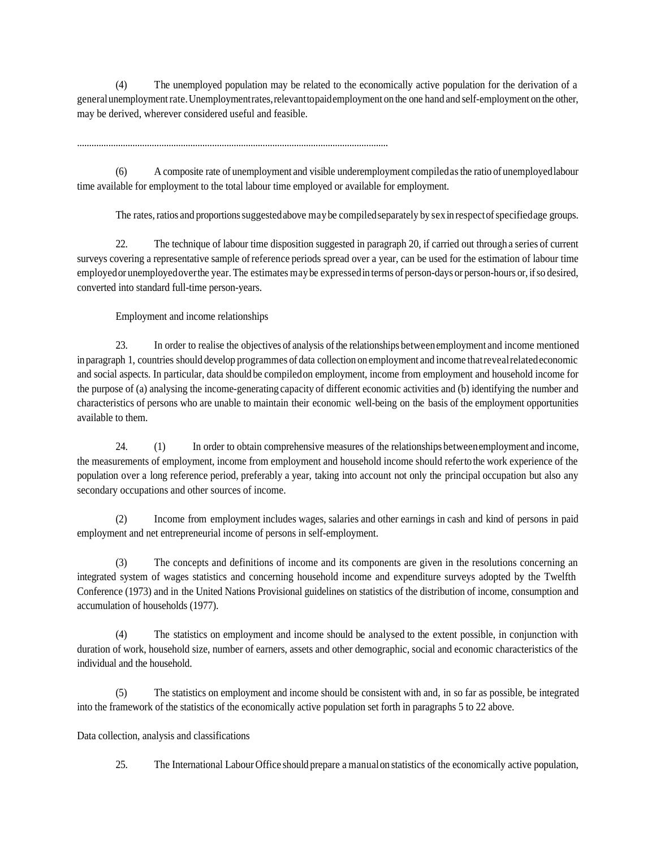(4) The unemployed population may be related to the economically active population for the derivation of a generalunemploymentrate.Unemploymentrates,relevanttopaidemployment on the one hand and self-employment on the other, may be derived, wherever considered useful and feasible.

.................................................................................................................................

(6) A composite rate of unemployment and visible underemployment compiledasthe ratio of unemployedlabour time available for employment to the total labour time employed or available for employment.

The rates, ratios and proportions suggested above may be compiled separately by sex in respect of specified age groups.

22. The technique of labour time disposition suggested in paragraph 20, if carried out through a series of current surveys covering a representative sample ofreference periods spread over a year, can be used for the estimation of labour time employed or unemployed over the year. The estimates may be expressed in terms of person-days or person-hours or, if so desired, converted into standard full-time person-years.

Employment and income relationships

23. In order to realise the objectives of analysis ofthe relationships betweenemployment and income mentioned in paragraph 1, countries should develop programmes of data collection on employment and income thatrevealrelatedeconomic and social aspects. In particular, data should be compiledon employment, income from employment and household income for the purpose of (a) analysing the income-generating capacity of different economic activities and (b) identifying the number and characteristics of persons who are unable to maintain their economic well-being on the basis of the employment opportunities available to them.

24. (1) In order to obtain comprehensive measures of the relationships betweenemployment and income, the measurements of employment, income from employment and household income should referto the work experience of the population over a long reference period, preferably a year, taking into account not only the principal occupation but also any secondary occupations and other sources of income.

(2) Income from employment includes wages, salaries and other earnings in cash and kind of persons in paid employment and net entrepreneurial income of persons in self-employment.

(3) The concepts and definitions of income and its components are given in the resolutions concerning an integrated system of wages statistics and concerning household income and expenditure surveys adopted by the Twelfth Conference (1973) and in the United Nations Provisional guidelines on statistics of the distribution of income, consumption and accumulation of households (1977).

(4) The statistics on employment and income should be analysed to the extent possible, in conjunction with duration of work, household size, number of earners, assets and other demographic, social and economic characteristics of the individual and the household.

(5) The statistics on employment and income should be consistent with and, in so far as possible, be integrated into the framework of the statistics of the economically active population set forth in paragraphs 5 to 22 above.

Data collection, analysis and classifications

25. The International Labour Office should prepare a manualon statistics of the economically active population,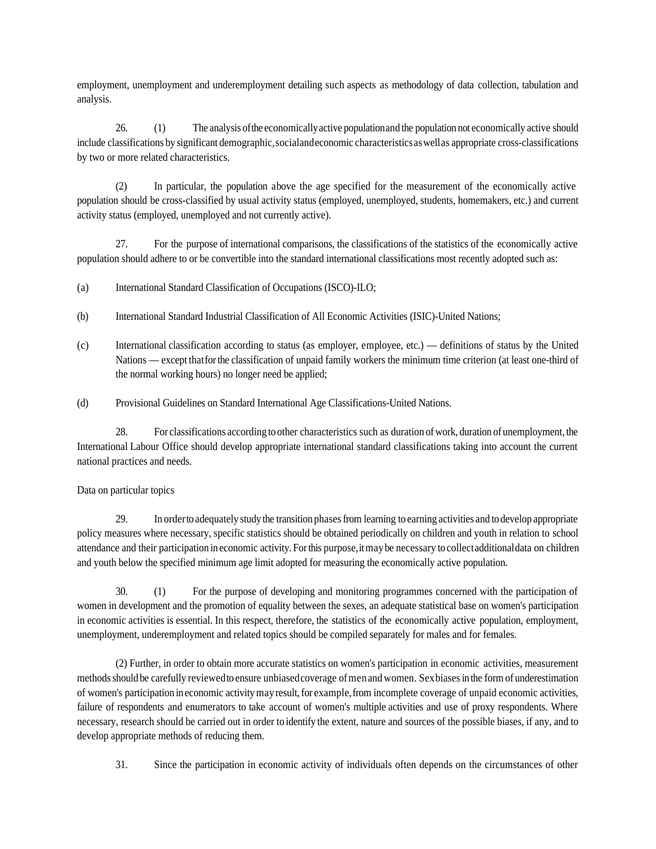employment, unemployment and underemployment detailing such aspects as methodology of data collection, tabulation and analysis.

26. (1) The analysis ofthe economicallyactive populationand the population not economically active should include classifications by significant demographic,socialandeconomic characteristicsaswellas appropriate cross-classifications by two or more related characteristics.

(2) In particular, the population above the age specified for the measurement of the economically active population should be cross-classified by usual activity status (employed, unemployed, students, homemakers, etc.) and current activity status (employed, unemployed and not currently active).

27. For the purpose of international comparisons, the classifications of the statistics of the economically active population should adhere to or be convertible into the standard international classifications most recently adopted such as:

- (a) International Standard Classification of Occupations (ISCO)-ILO;
- (b) International Standard Industrial Classification of All Economic Activities (ISIC)-United Nations;
- (c) International classification according to status (as employer, employee, etc.) definitions of status by the United Nations — except that for the classification of unpaid family workers the minimum time criterion (at least one-third of the normal working hours) no longer need be applied;
- (d) Provisional Guidelines on Standard International Age Classifications-United Nations.

28. For classifications according to other characteristics such as duration ofwork, duration of unemployment, the International Labour Office should develop appropriate international standard classifications taking into account the current national practices and needs.

#### Data on particular topics

29. In orderto adequately study the transition phasesfrom learning to earning activities and to develop appropriate policy measures where necessary, specific statistics should be obtained periodically on children and youth in relation to school attendance and their participation in economic activity. For this purpose, it may be necessary to collectadditional data on children and youth below the specified minimum age limit adopted for measuring the economically active population.

30. (1) For the purpose of developing and monitoring programmes concerned with the participation of women in development and the promotion of equality between the sexes, an adequate statistical base on women's participation in economic activities is essential. In this respect, therefore, the statistics of the economically active population, employment, unemployment, underemployment and related topics should be compiled separately for males and for females.

(2) Further, in order to obtain more accurate statistics on women's participation in economic activities, measurement methods should be carefully reviewed to ensure unbiased coverage of men and women. Sex biases in the form of underestimation of women's participation in economic activitymayresult,for example,from incomplete coverage of unpaid economic activities, failure of respondents and enumerators to take account of women's multiple activities and use of proxy respondents. Where necessary, research should be carried out in order to identify the extent, nature and sources of the possible biases, if any, and to develop appropriate methods of reducing them.

31. Since the participation in economic activity of individuals often depends on the circumstances of other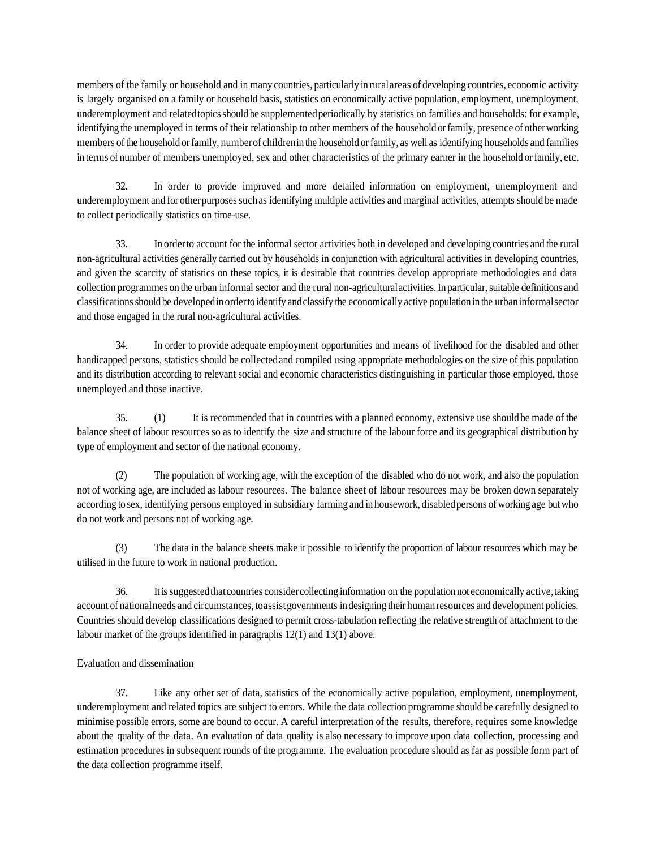members of the family or household and in many countries, particularly in ruralareas of developing countries, economic activity is largely organised on a family or household basis, statistics on economically active population, employment, unemployment, underemployment and relatedtopicsshould be supplementedperiodically by statistics on families and households: for example, identifying the unemployed in terms of their relationship to other members of the household or family, presence of other working members of the household or family, number of children in the household or family, as well as identifying households and families in terms of number of members unemployed, sex and other characteristics of the primary earner in the household or family, etc.

32. In order to provide improved and more detailed information on employment, unemployment and underemployment and for other purposes such as identifying multiple activities and marginal activities, attempts should be made to collect periodically statistics on time-use.

33. In orderto account for the informal sector activities both in developed and developing countries and the rural non-agricultural activities generally carried out by households in conjunction with agricultural activities in developing countries, and given the scarcity of statistics on these topics, it is desirable that countries develop appropriate methodologies and data collection programmes on the urban informal sector and the rural non-agricultural activities. In particular, suitable definitions and classificationsshould be developedin orderto identify andclassify the economically active population in the urbaninformalsector and those engaged in the rural non-agricultural activities.

34. In order to provide adequate employment opportunities and means of livelihood for the disabled and other handicapped persons, statistics should be collectedand compiled using appropriate methodologies on the size of this population and its distribution according to relevant social and economic characteristics distinguishing in particular those employed, those unemployed and those inactive.

35. (1) It is recommended that in countries with a planned economy, extensive use should be made of the balance sheet of labour resources so as to identify the size and structure of the labour force and its geographical distribution by type of employment and sector of the national economy.

(2) The population of working age, with the exception of the disabled who do not work, and also the population not of working age, are included as labour resources. The balance sheet of labour resources may be broken down separately according to sex, identifying persons employed in subsidiary farming and in housework, disabled persons of working age but who do not work and persons not of working age.

(3) The data in the balance sheets make it possible to identify the proportion of labour resources which may be utilised in the future to work in national production.

36. Itissuggestedthatcountries considercollecting information on the population not economically active,taking account of nationalneeds and circumstances, toassistgovernments in designing their humanresources and development policies. Countries should develop classifications designed to permit cross-tabulation reflecting the relative strength of attachment to the labour market of the groups identified in paragraphs 12(1) and 13(1) above.

### Evaluation and dissemination

37. Like any other set of data, statistics of the economically active population, employment, unemployment, underemployment and related topics are subject to errors. While the data collection programme should be carefully designed to minimise possible errors, some are bound to occur. A careful interpretation of the results, therefore, requires some knowledge about the quality of the data. An evaluation of data quality is also necessary to improve upon data collection, processing and estimation procedures in subsequent rounds of the programme. The evaluation procedure should as far as possible form part of the data collection programme itself.